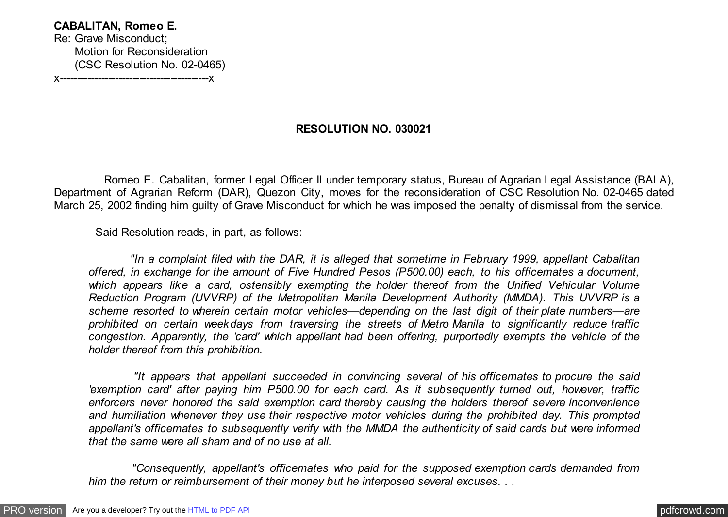## **CABALITAN, Romeo E.** Re: Grave Misconduct;

 Motion for Reconsideration (CSC Resolution No. 02-0465)

x-------------------------------------------x

## **RESOLUTION NO. 030021**

 Romeo E. Cabalitan, former Legal Officer II under temporary status, Bureau of Agrarian Legal Assistance (BALA), Department of Agrarian Reform (DAR), Quezon City, moves for the reconsideration of CSC Resolution No. 02-0465 dated March 25, 2002 finding him guilty of Grave Misconduct for which he was imposed the penalty of dismissal from the service.

Said Resolution reads, in part, as follows:

 *"In a complaint filed with the DAR, it is alleged that sometime in February 1999, appellant Cabalitan offered, in exchange for the amount of Five Hundred Pesos (P500.00) each, to his officemates a document, which appears like a card, ostensibly exempting the holder thereof from the Unified Vehicular Volume Reduction Program (UVVRP) of the Metropolitan Manila Development Authority (MMDA). This UVVRP is a scheme resorted to wherein certain motor vehicles—depending on the last digit of their plate numbers—are prohibited on certain weekdays from traversing the streets of Metro Manila to significantly reduce traffic congestion. Apparently, the 'card' which appellant had been offering, purportedly exempts the vehicle of the holder thereof from this prohibition.*

 *"It appears that appellant succeeded in convincing several of his officemates to procure the said 'exemption card' after paying him P500.00 for each card. As it subsequently turned out, however, traffic enforcers never honored the said exemption card thereby causing the holders thereof severe inconvenience and humiliation whenever they use their respective motor vehicles during the prohibited day. This prompted appellant's officemates to subsequently verify with the MMDA the authenticity of said cards but were informed that the same were all sham and of no use at all.*

 *"Consequently, appellant's officemates who paid for the supposed exemption cards demanded from him the return or reimbursement of their money but he interposed several excuses. . .*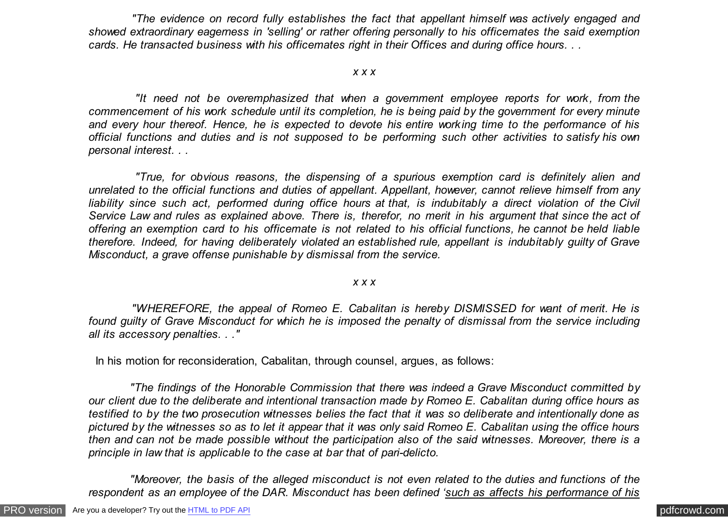*"The evidence on record fully establishes the fact that appellant himself was actively engaged and showed extraordinary eagerness in 'selling' or rather offering personally to his officemates the said exemption cards. He transacted business with his officemates right in their Offices and during office hours. . .*

## *x x x*

 *"It need not be overemphasized that when a government employee reports for work, from the commencement of his work schedule until its completion, he is being paid by the government for every minute and every hour thereof. Hence, he is expected to devote his entire working time to the performance of his official functions and duties and is not supposed to be performing such other activities to satisfy his own personal interest. . .*

 *"True, for obvious reasons, the dispensing of a spurious exemption card is definitely alien and unrelated to the official functions and duties of appellant. Appellant, however, cannot relieve himself from any liability since such act, performed during office hours at that, is indubitably a direct violation of the Civil Service Law and rules as explained above. There is, therefor, no merit in his argument that since the act of offering an exemption card to his officemate is not related to his official functions, he cannot be held liable therefore. Indeed, for having deliberately violated an established rule, appellant is indubitably guilty of Grave Misconduct, a grave offense punishable by dismissal from the service.*

## *x x x*

 *"WHEREFORE, the appeal of Romeo E. Cabalitan is hereby DISMISSED for want of merit. He is found guilty of Grave Misconduct for which he is imposed the penalty of dismissal from the service including all its accessory penalties. . ."*

In his motion for reconsideration, Cabalitan, through counsel, argues, as follows:

 *"The findings of the Honorable Commission that there was indeed a Grave Misconduct committed by our client due to the deliberate and intentional transaction made by Romeo E. Cabalitan during office hours as testified to by the two prosecution witnesses belies the fact that it was so deliberate and intentionally done as pictured by the witnesses so as to let it appear that it was only said Romeo E. Cabalitan using the office hours then and can not be made possible without the participation also of the said witnesses. Moreover, there is a principle in law that is applicable to the case at bar that of pari-delicto.*

 *"Moreover, the basis of the alleged misconduct is not even related to the duties and functions of the respondent as an employee of the DAR. Misconduct has been defined 'such as affects his performance of his*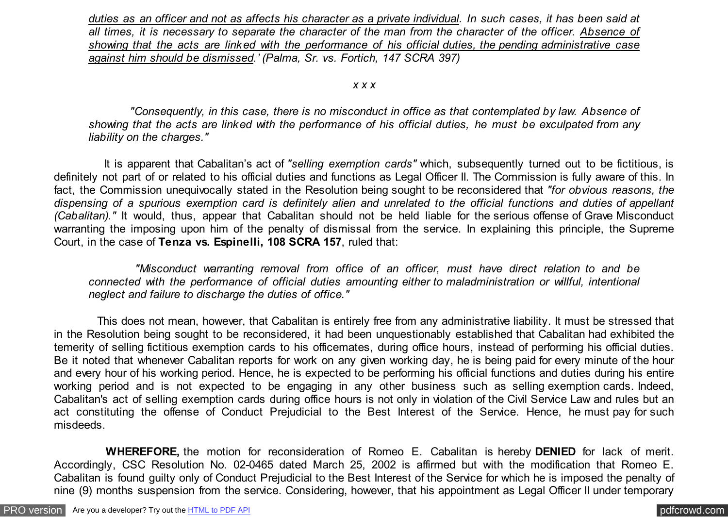*duties as an officer and not as affects his character as a private individual. In such cases, it has been said at all times, it is necessary to separate the character of the man from the character of the officer. Absence of showing that the acts are linked with the performance of his official duties, the pending administrative case against him should be dismissed.' (Palma, Sr. vs. Fortich, 147 SCRA 397)*

*x x x*

 *"Consequently, in this case, there is no misconduct in office as that contemplated by law. Absence of showing that the acts are linked with the performance of his official duties, he must be exculpated from any liability on the charges."*

 It is apparent that Cabalitan's act of *"selling exemption cards"* which, subsequently turned out to be fictitious, is definitely not part of or related to his official duties and functions as Legal Officer II. The Commission is fully aware of this. In fact, the Commission unequivocally stated in the Resolution being sought to be reconsidered that *"for obvious reasons, the dispensing of a spurious exemption card is definitely alien and unrelated to the official functions and duties of appellant (Cabalitan)."* It would, thus, appear that Cabalitan should not be held liable for the serious offense of Grave Misconduct warranting the imposing upon him of the penalty of dismissal from the service. In explaining this principle, the Supreme Court, in the case of **Tenza vs. Espinelli, 108 SCRA 157**, ruled that:

 *"Misconduct warranting removal from office of an officer, must have direct relation to and be connected with the performance of official duties amounting either to maladministration or willful, intentional neglect and failure to discharge the duties of office."*

 This does not mean, however, that Cabalitan is entirely free from any administrative liability. It must be stressed that in the Resolution being sought to be reconsidered, it had been unquestionably established that Cabalitan had exhibited the temerity of selling fictitious exemption cards to his officemates, during office hours, instead of performing his official duties. Be it noted that whenever Cabalitan reports for work on any given working day, he is being paid for every minute of the hour and every hour of his working period. Hence, he is expected to be performing his official functions and duties during his entire working period and is not expected to be engaging in any other business such as selling exemption cards. Indeed, Cabalitan's act of selling exemption cards during office hours is not only in violation of the Civil Service Law and rules but an act constituting the offense of Conduct Prejudicial to the Best Interest of the Service. Hence, he must pay for such misdeeds.

 **WHEREFORE,** the motion for reconsideration of Romeo E. Cabalitan is hereby **DENIED** for lack of merit. Accordingly, CSC Resolution No. 02-0465 dated March 25, 2002 is affirmed but with the modification that Romeo E. Cabalitan is found guilty only of Conduct Prejudicial to the Best Interest of the Service for which he is imposed the penalty of nine (9) months suspension from the service. Considering, however, that his appointment as Legal Officer II under temporary